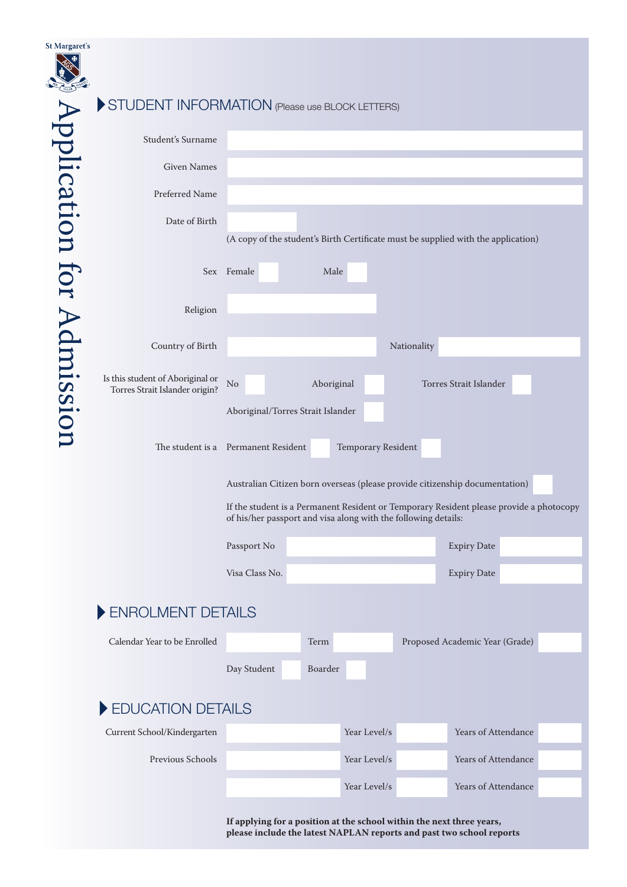| <b>St Margaret's</b>      |                                                                    |                                                                       |            |                    |             |                                                                                         |  |
|---------------------------|--------------------------------------------------------------------|-----------------------------------------------------------------------|------------|--------------------|-------------|-----------------------------------------------------------------------------------------|--|
|                           | STUDENT INFORMATION (Please use BLOCK LETTERS)                     |                                                                       |            |                    |             |                                                                                         |  |
|                           |                                                                    |                                                                       |            |                    |             |                                                                                         |  |
|                           | Student's Surname                                                  |                                                                       |            |                    |             |                                                                                         |  |
|                           | <b>Given Names</b>                                                 |                                                                       |            |                    |             |                                                                                         |  |
|                           | Preferred Name                                                     |                                                                       |            |                    |             |                                                                                         |  |
|                           | Date of Birth                                                      |                                                                       |            |                    |             | (A copy of the student's Birth Certificate must be supplied with the application)       |  |
| Application for Admission |                                                                    | Sex Female                                                            | Male       |                    |             |                                                                                         |  |
|                           | Religion                                                           |                                                                       |            |                    |             |                                                                                         |  |
|                           | Country of Birth                                                   |                                                                       |            |                    | Nationality |                                                                                         |  |
|                           | Is this student of Aboriginal or<br>Torres Strait Islander origin? | No                                                                    | Aboriginal |                    |             | Torres Strait Islander                                                                  |  |
|                           |                                                                    | Aboriginal/Torres Strait Islander                                     |            |                    |             |                                                                                         |  |
|                           | The student is a Permanent Resident                                |                                                                       |            | Temporary Resident |             |                                                                                         |  |
|                           |                                                                    |                                                                       |            |                    |             | Australian Citizen born overseas (please provide citizenship documentation)             |  |
|                           |                                                                    | of his/her passport and visa along with the following details:        |            |                    |             | If the student is a Permanent Resident or Temporary Resident please provide a photocopy |  |
|                           |                                                                    | Passport No                                                           |            |                    |             | <b>Expiry Date</b>                                                                      |  |
|                           |                                                                    | Visa Class No.                                                        |            |                    |             | <b>Expiry Date</b>                                                                      |  |
|                           | ENROLMENT DETAILS                                                  |                                                                       |            |                    |             |                                                                                         |  |
|                           | Calendar Year to be Enrolled                                       |                                                                       | Term       |                    |             | Proposed Academic Year (Grade)                                                          |  |
|                           |                                                                    | Day Student                                                           | Boarder    |                    |             |                                                                                         |  |
|                           | EDUCATION DETAILS                                                  |                                                                       |            |                    |             |                                                                                         |  |
|                           | Current School/Kindergarten                                        |                                                                       |            | Year Level/s       |             | Years of Attendance                                                                     |  |
|                           | Previous Schools                                                   |                                                                       |            | Year Level/s       |             | Years of Attendance                                                                     |  |
|                           |                                                                    |                                                                       |            | Year Level/s       |             | Years of Attendance                                                                     |  |
|                           |                                                                    |                                                                       |            |                    |             |                                                                                         |  |
|                           |                                                                    | If applying for a position at the school within the next three years, |            |                    |             | please include the latest NAPLAN reports and past two school reports                    |  |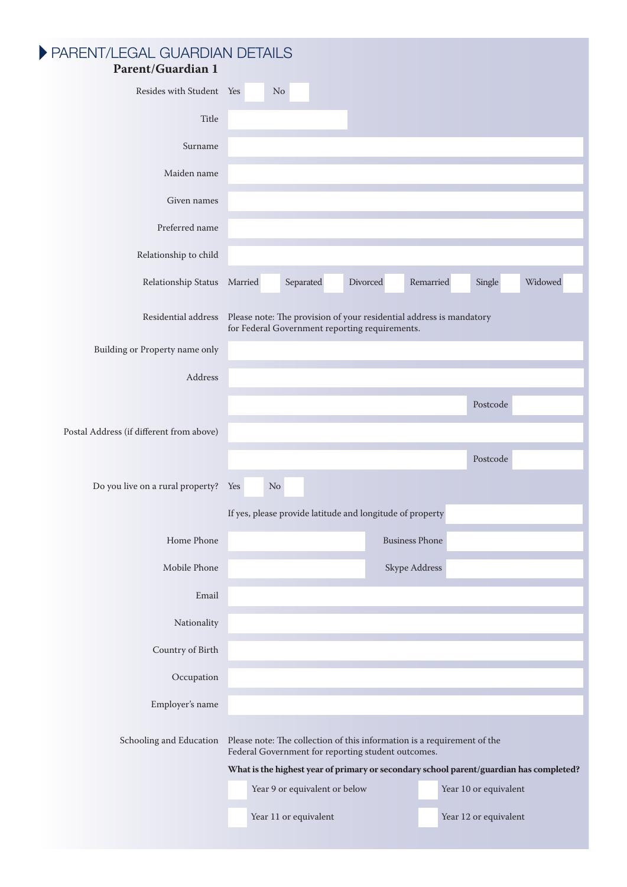| PARENT/LEGAL GUARDIAN DETAILS<br><b>Parent/Guardian 1</b> |         |          |                                                           |          |                                                                         |                       |                                                                                        |
|-----------------------------------------------------------|---------|----------|-----------------------------------------------------------|----------|-------------------------------------------------------------------------|-----------------------|----------------------------------------------------------------------------------------|
| Resides with Student Yes                                  |         | $\rm No$ |                                                           |          |                                                                         |                       |                                                                                        |
| Title                                                     |         |          |                                                           |          |                                                                         |                       |                                                                                        |
| Surname                                                   |         |          |                                                           |          |                                                                         |                       |                                                                                        |
| Maiden name                                               |         |          |                                                           |          |                                                                         |                       |                                                                                        |
| Given names                                               |         |          |                                                           |          |                                                                         |                       |                                                                                        |
| Preferred name                                            |         |          |                                                           |          |                                                                         |                       |                                                                                        |
| Relationship to child                                     |         |          |                                                           |          |                                                                         |                       |                                                                                        |
| Relationship Status                                       | Married |          | Separated                                                 | Divorced | Remarried                                                               | Single                | Widowed                                                                                |
| Residential address                                       |         |          | for Federal Government reporting requirements.            |          | Please note: The provision of your residential address is mandatory     |                       |                                                                                        |
| Building or Property name only                            |         |          |                                                           |          |                                                                         |                       |                                                                                        |
| Address                                                   |         |          |                                                           |          |                                                                         |                       |                                                                                        |
|                                                           |         |          |                                                           |          |                                                                         | Postcode              |                                                                                        |
| Postal Address (if different from above)                  |         |          |                                                           |          |                                                                         |                       |                                                                                        |
|                                                           |         |          |                                                           |          |                                                                         | Postcode              |                                                                                        |
| Do you live on a rural property?                          | Yes     | No       |                                                           |          |                                                                         |                       |                                                                                        |
|                                                           |         |          | If yes, please provide latitude and longitude of property |          |                                                                         |                       |                                                                                        |
| Home Phone                                                |         |          |                                                           |          | <b>Business Phone</b>                                                   |                       |                                                                                        |
| Mobile Phone                                              |         |          |                                                           |          | Skype Address                                                           |                       |                                                                                        |
| Email                                                     |         |          |                                                           |          |                                                                         |                       |                                                                                        |
| Nationality                                               |         |          |                                                           |          |                                                                         |                       |                                                                                        |
| Country of Birth                                          |         |          |                                                           |          |                                                                         |                       |                                                                                        |
| Occupation                                                |         |          |                                                           |          |                                                                         |                       |                                                                                        |
| Employer's name                                           |         |          |                                                           |          |                                                                         |                       |                                                                                        |
| Schooling and Education                                   |         |          | Federal Government for reporting student outcomes.        |          | Please note: The collection of this information is a requirement of the |                       |                                                                                        |
|                                                           |         |          | Year 9 or equivalent or below                             |          |                                                                         | Year 10 or equivalent | What is the highest year of primary or secondary school parent/guardian has completed? |
|                                                           |         |          |                                                           |          |                                                                         |                       |                                                                                        |
|                                                           |         |          | Year 11 or equivalent                                     |          |                                                                         | Year 12 or equivalent |                                                                                        |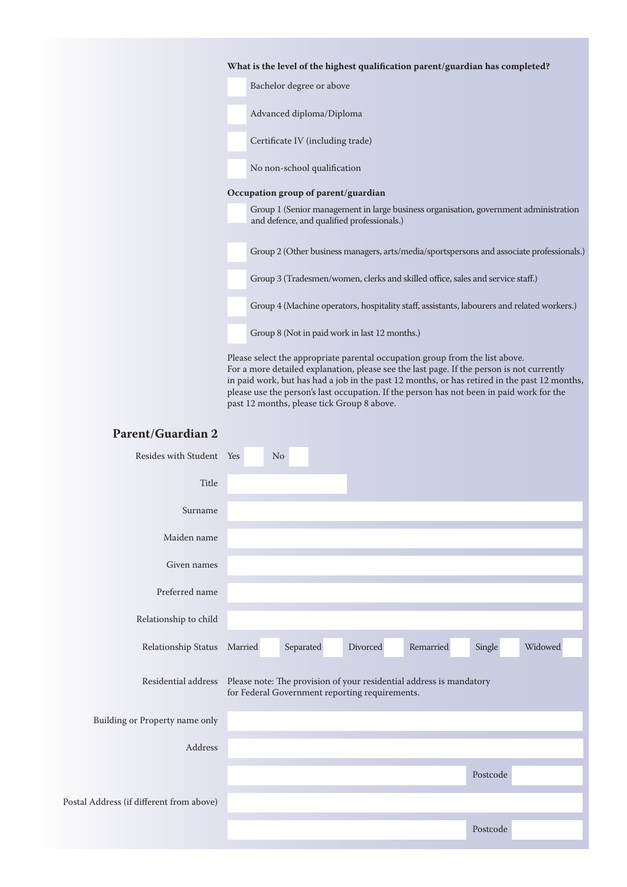| What is the level of the highest qualification parent/guardian has completed?                                                      |
|------------------------------------------------------------------------------------------------------------------------------------|
| Bachelor degree or above                                                                                                           |
| Advanced diploma/Diploma                                                                                                           |
| Certificate IV (including trade)                                                                                                   |
| No non-school qualification                                                                                                        |
| Occupation group of parent/guardian                                                                                                |
| Group 1 (Senior management in large business organisation, government administration<br>and defence, and qualified professionals.) |
| Group 2 (Other business managers, arts/media/sportspersons and associate professionals.)                                           |
| Group 3 (Tradesmen/women, clerks and skilled office, sales and service staff.)                                                     |
| Group 4 (Machine operators, hospitality staff, assistants, labourers and related workers.)                                         |
| Group 8 (Not in paid work in last 12 months.)                                                                                      |

Please select the appropriate parental occupation group from the list above. For a more detailed explanation, please see the last page. If the person is not currently in paid work, but has had a job in the past 12 months, or has retired in the past 12 months, please use the person's last occupation. If the person has not been in paid work for the past 12 months, please tick Group 8 above.

# **Parent/Guardian 2**

| Resides with Student Yes                 | N <sub>o</sub> |           |                                                |                                                                     |          |         |
|------------------------------------------|----------------|-----------|------------------------------------------------|---------------------------------------------------------------------|----------|---------|
| Title                                    |                |           |                                                |                                                                     |          |         |
| Surname                                  |                |           |                                                |                                                                     |          |         |
| Maiden name                              |                |           |                                                |                                                                     |          |         |
| Given names                              |                |           |                                                |                                                                     |          |         |
| Preferred name                           |                |           |                                                |                                                                     |          |         |
| Relationship to child                    |                |           |                                                |                                                                     |          |         |
| Relationship Status Married              |                | Separated | Divorced                                       | Remarried                                                           | Single   | Widowed |
| Residential address                      |                |           | for Federal Government reporting requirements. | Please note: The provision of your residential address is mandatory |          |         |
| Building or Property name only           |                |           |                                                |                                                                     |          |         |
| Address                                  |                |           |                                                |                                                                     |          |         |
|                                          |                |           |                                                |                                                                     | Postcode |         |
| Postal Address (if different from above) |                |           |                                                |                                                                     |          |         |
|                                          |                |           |                                                |                                                                     | Postcode |         |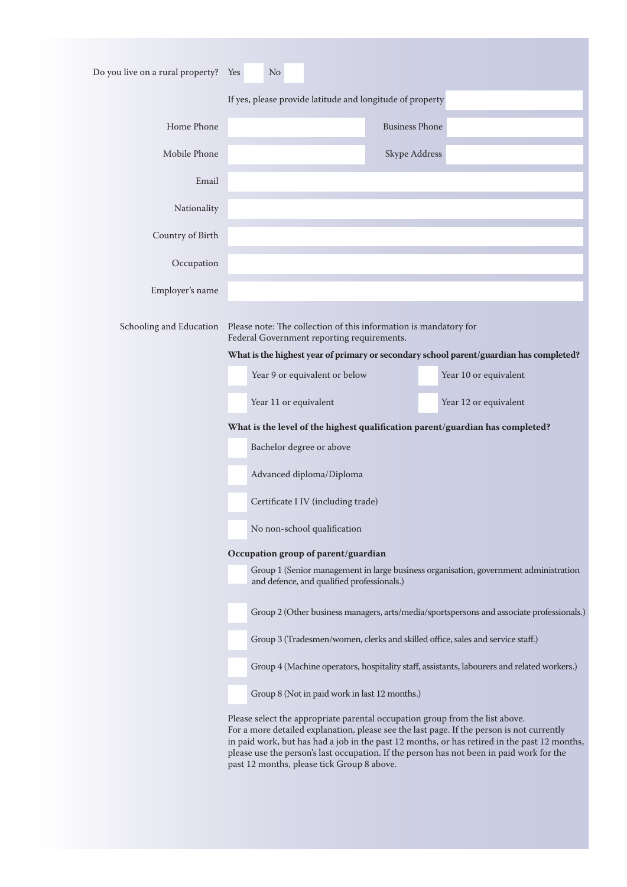| Do you live on a rural property? Yes | N <sub>o</sub>                                                                                                                                                                                                                                                                                                      |                       |                                                                                              |
|--------------------------------------|---------------------------------------------------------------------------------------------------------------------------------------------------------------------------------------------------------------------------------------------------------------------------------------------------------------------|-----------------------|----------------------------------------------------------------------------------------------|
|                                      | If yes, please provide latitude and longitude of property                                                                                                                                                                                                                                                           |                       |                                                                                              |
| Home Phone                           |                                                                                                                                                                                                                                                                                                                     | <b>Business Phone</b> |                                                                                              |
| Mobile Phone                         |                                                                                                                                                                                                                                                                                                                     | <b>Skype Address</b>  |                                                                                              |
| Email                                |                                                                                                                                                                                                                                                                                                                     |                       |                                                                                              |
| Nationality                          |                                                                                                                                                                                                                                                                                                                     |                       |                                                                                              |
| Country of Birth                     |                                                                                                                                                                                                                                                                                                                     |                       |                                                                                              |
| Occupation                           |                                                                                                                                                                                                                                                                                                                     |                       |                                                                                              |
| Employer's name                      |                                                                                                                                                                                                                                                                                                                     |                       |                                                                                              |
|                                      | Schooling and Education Please note: The collection of this information is mandatory for<br>Federal Government reporting requirements.                                                                                                                                                                              |                       |                                                                                              |
|                                      | What is the highest year of primary or secondary school parent/guardian has completed?                                                                                                                                                                                                                              |                       |                                                                                              |
|                                      | Year 9 or equivalent or below                                                                                                                                                                                                                                                                                       |                       | Year 10 or equivalent                                                                        |
|                                      | Year 11 or equivalent                                                                                                                                                                                                                                                                                               |                       | Year 12 or equivalent                                                                        |
|                                      | What is the level of the highest qualification parent/guardian has completed?                                                                                                                                                                                                                                       |                       |                                                                                              |
|                                      | Bachelor degree or above                                                                                                                                                                                                                                                                                            |                       |                                                                                              |
|                                      | Advanced diploma/Diploma                                                                                                                                                                                                                                                                                            |                       |                                                                                              |
|                                      | Certificate I IV (including trade)                                                                                                                                                                                                                                                                                  |                       |                                                                                              |
|                                      | No non-school qualification                                                                                                                                                                                                                                                                                         |                       |                                                                                              |
|                                      | Occupation group of parent/guardian                                                                                                                                                                                                                                                                                 |                       |                                                                                              |
|                                      | and defence, and qualified professionals.)                                                                                                                                                                                                                                                                          |                       | Group 1 (Senior management in large business organisation, government administration         |
|                                      |                                                                                                                                                                                                                                                                                                                     |                       | Group 2 (Other business managers, arts/media/sportspersons and associate professionals.)     |
|                                      | Group 3 (Tradesmen/women, clerks and skilled office, sales and service staff.)                                                                                                                                                                                                                                      |                       |                                                                                              |
|                                      |                                                                                                                                                                                                                                                                                                                     |                       | Group 4 (Machine operators, hospitality staff, assistants, labourers and related workers.)   |
|                                      | Group 8 (Not in paid work in last 12 months.)                                                                                                                                                                                                                                                                       |                       |                                                                                              |
|                                      | Please select the appropriate parental occupation group from the list above.<br>For a more detailed explanation, please see the last page. If the person is not currently<br>please use the person's last occupation. If the person has not been in paid work for the<br>past 12 months, please tick Group 8 above. |                       | in paid work, but has had a job in the past 12 months, or has retired in the past 12 months, |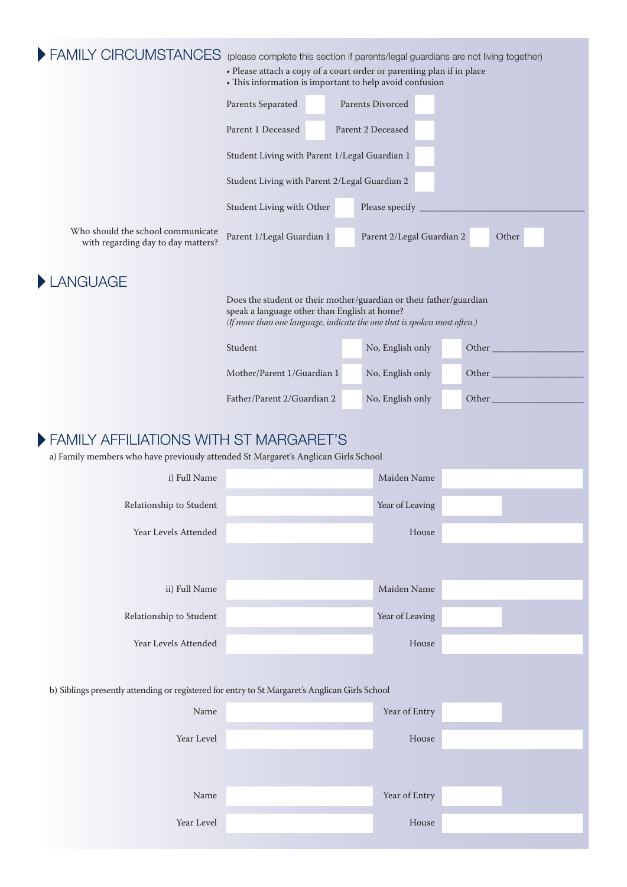|                                                                                                                              | (please complete this section if parents/legal guardians are not living together)<br>• Please attach a copy of a court order or parenting plan if in place<br>• This information is important to help avoid confusion |                  |                           |        |       |  |  |
|------------------------------------------------------------------------------------------------------------------------------|-----------------------------------------------------------------------------------------------------------------------------------------------------------------------------------------------------------------------|------------------|---------------------------|--------|-------|--|--|
|                                                                                                                              | Parents Separated                                                                                                                                                                                                     | Parents Divorced |                           |        |       |  |  |
|                                                                                                                              | Parent 1 Deceased<br>Parent 2 Deceased                                                                                                                                                                                |                  |                           |        |       |  |  |
|                                                                                                                              | Student Living with Parent 1/Legal Guardian 1                                                                                                                                                                         |                  |                           |        |       |  |  |
|                                                                                                                              | Student Living with Parent 2/Legal Guardian 2                                                                                                                                                                         |                  |                           |        |       |  |  |
|                                                                                                                              | Student Living with Other                                                                                                                                                                                             |                  |                           |        |       |  |  |
| Who should the school communicate<br>with regarding day to day matters?                                                      | Parent 1/Legal Guardian 1                                                                                                                                                                                             |                  | Parent 2/Legal Guardian 2 |        | Other |  |  |
| LANGUAGE                                                                                                                     |                                                                                                                                                                                                                       |                  |                           |        |       |  |  |
|                                                                                                                              | Does the student or their mother/guardian or their father/guardian<br>speak a language other than English at home?<br>(If more than one language, indicate the one that is spoken most often.)                        |                  |                           |        |       |  |  |
|                                                                                                                              | Student                                                                                                                                                                                                               |                  | No, English only          | Other_ |       |  |  |
|                                                                                                                              | Mother/Parent 1/Guardian 1                                                                                                                                                                                            |                  | No, English only          | Other_ |       |  |  |
|                                                                                                                              | Father/Parent 2/Guardian 2                                                                                                                                                                                            |                  | No, English only          | Other  |       |  |  |
| FAMILY AFFILIATIONS WITH ST MARGARET'S<br>a) Family members who have previously attended St Margaret's Anglican Girls School |                                                                                                                                                                                                                       |                  |                           |        |       |  |  |
|                                                                                                                              | Maiden Name                                                                                                                                                                                                           |                  |                           |        |       |  |  |
| i) Full Name                                                                                                                 |                                                                                                                                                                                                                       |                  |                           |        |       |  |  |
| Relationship to Student                                                                                                      |                                                                                                                                                                                                                       |                  | Year of Leaving           |        |       |  |  |
| Year Levels Attended                                                                                                         |                                                                                                                                                                                                                       |                  | House                     |        |       |  |  |
|                                                                                                                              |                                                                                                                                                                                                                       |                  |                           |        |       |  |  |
| ii) Full Name                                                                                                                |                                                                                                                                                                                                                       |                  | Maiden Name               |        |       |  |  |
| Relationship to Student                                                                                                      |                                                                                                                                                                                                                       |                  | Year of Leaving           |        |       |  |  |
| Year Levels Attended                                                                                                         |                                                                                                                                                                                                                       |                  | House                     |        |       |  |  |
|                                                                                                                              |                                                                                                                                                                                                                       |                  |                           |        |       |  |  |
| b) Siblings presently attending or registered for entry to St Margaret's Anglican Girls School                               |                                                                                                                                                                                                                       |                  |                           |        |       |  |  |
| Name                                                                                                                         |                                                                                                                                                                                                                       |                  | Year of Entry             |        |       |  |  |
| Year Level                                                                                                                   |                                                                                                                                                                                                                       |                  | House                     |        |       |  |  |
|                                                                                                                              |                                                                                                                                                                                                                       |                  |                           |        |       |  |  |
| Name                                                                                                                         |                                                                                                                                                                                                                       |                  | Year of Entry             |        |       |  |  |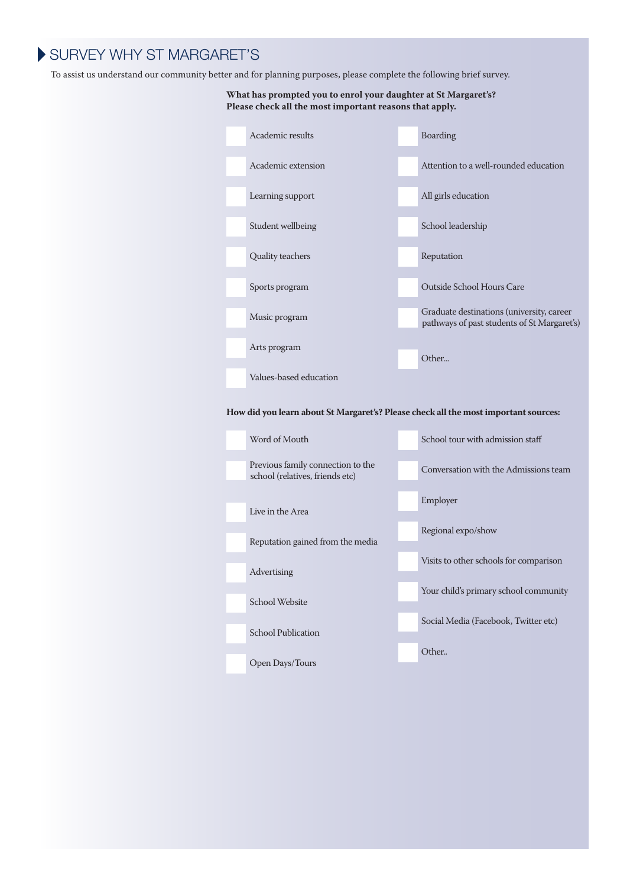# SURVEY WHY ST MARGARET'S

To assist us understand our community better and for planning purposes, please complete the following brief survey.

Live in the Area

Advertising

School Website

School Publication

Open Days/Tours

Reputation gained from the media

#### **What has prompted you to enrol your daughter at St Margaret's? Please check all the most important reasons that apply.**



Employer

Regional expo/show

Visits to other schools for comparison

Your child's primary school community

Social Media (Facebook, Twitter etc)

Other..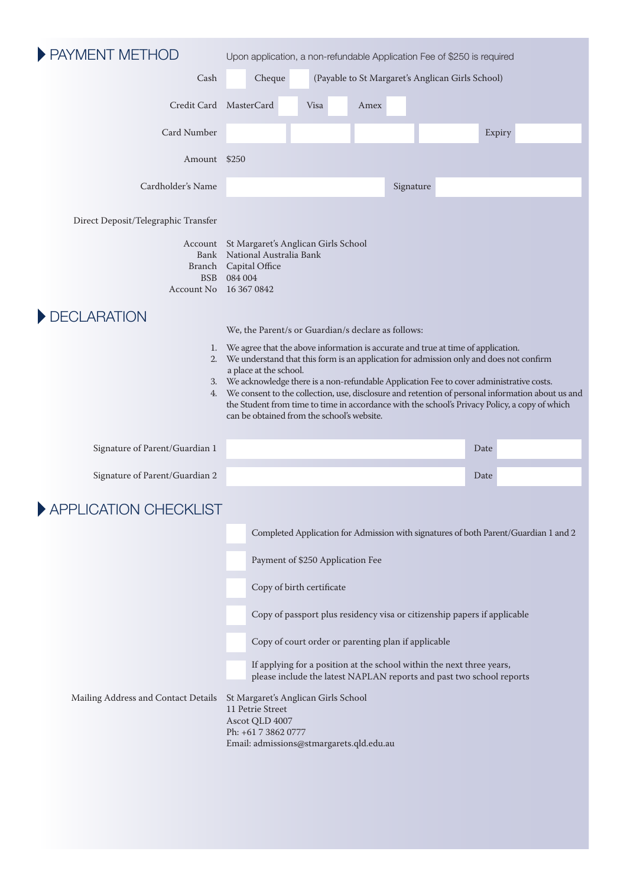| PAYMENT METHOD                      |                                                                                                                                                                                                                                                                                                                                                                                                                                                                                                                                                                                                                | Upon application, a non-refundable Application Fee of \$250 is required                                                                                                                                                                                                                                                                           |      |           |  |      |                                                                                     |  |
|-------------------------------------|----------------------------------------------------------------------------------------------------------------------------------------------------------------------------------------------------------------------------------------------------------------------------------------------------------------------------------------------------------------------------------------------------------------------------------------------------------------------------------------------------------------------------------------------------------------------------------------------------------------|---------------------------------------------------------------------------------------------------------------------------------------------------------------------------------------------------------------------------------------------------------------------------------------------------------------------------------------------------|------|-----------|--|------|-------------------------------------------------------------------------------------|--|
| Cash                                |                                                                                                                                                                                                                                                                                                                                                                                                                                                                                                                                                                                                                | (Payable to St Margaret's Anglican Girls School)<br>Cheque                                                                                                                                                                                                                                                                                        |      |           |  |      |                                                                                     |  |
|                                     | Credit Card MasterCard                                                                                                                                                                                                                                                                                                                                                                                                                                                                                                                                                                                         | Visa                                                                                                                                                                                                                                                                                                                                              | Amex |           |  |      |                                                                                     |  |
| Card Number                         |                                                                                                                                                                                                                                                                                                                                                                                                                                                                                                                                                                                                                |                                                                                                                                                                                                                                                                                                                                                   |      |           |  |      | Expiry                                                                              |  |
| Amount \$250                        |                                                                                                                                                                                                                                                                                                                                                                                                                                                                                                                                                                                                                |                                                                                                                                                                                                                                                                                                                                                   |      |           |  |      |                                                                                     |  |
| Cardholder's Name                   |                                                                                                                                                                                                                                                                                                                                                                                                                                                                                                                                                                                                                |                                                                                                                                                                                                                                                                                                                                                   |      | Signature |  |      |                                                                                     |  |
| Direct Deposit/Telegraphic Transfer |                                                                                                                                                                                                                                                                                                                                                                                                                                                                                                                                                                                                                |                                                                                                                                                                                                                                                                                                                                                   |      |           |  |      |                                                                                     |  |
| <b>BSB</b>                          | Account St Margaret's Anglican Girls School<br>Bank National Australia Bank<br>Branch Capital Office<br>084 004<br>Account No 16 367 0842                                                                                                                                                                                                                                                                                                                                                                                                                                                                      |                                                                                                                                                                                                                                                                                                                                                   |      |           |  |      |                                                                                     |  |
| DECLARATION<br>1.<br>2.             | We, the Parent/s or Guardian/s declare as follows:<br>We agree that the above information is accurate and true at time of application.<br>We understand that this form is an application for admission only and does not confirm<br>a place at the school.<br>3. We acknowledge there is a non-refundable Application Fee to cover administrative costs.<br>4. We consent to the collection, use, disclosure and retention of personal information about us and<br>the Student from time to time in accordance with the school's Privacy Policy, a copy of which<br>can be obtained from the school's website. |                                                                                                                                                                                                                                                                                                                                                   |      |           |  |      |                                                                                     |  |
| Signature of Parent/Guardian 1      |                                                                                                                                                                                                                                                                                                                                                                                                                                                                                                                                                                                                                |                                                                                                                                                                                                                                                                                                                                                   |      |           |  | Date |                                                                                     |  |
| Signature of Parent/Guardian 2      |                                                                                                                                                                                                                                                                                                                                                                                                                                                                                                                                                                                                                |                                                                                                                                                                                                                                                                                                                                                   |      |           |  | Date |                                                                                     |  |
| APPLICATION CHECKLIST               |                                                                                                                                                                                                                                                                                                                                                                                                                                                                                                                                                                                                                |                                                                                                                                                                                                                                                                                                                                                   |      |           |  |      |                                                                                     |  |
|                                     |                                                                                                                                                                                                                                                                                                                                                                                                                                                                                                                                                                                                                | Payment of \$250 Application Fee<br>Copy of birth certificate<br>Copy of passport plus residency visa or citizenship papers if applicable<br>Copy of court order or parenting plan if applicable<br>If applying for a position at the school within the next three years,<br>please include the latest NAPLAN reports and past two school reports |      |           |  |      | Completed Application for Admission with signatures of both Parent/Guardian 1 and 2 |  |
| Mailing Address and Contact Details | 11 Petrie Street<br>Ascot QLD 4007<br>Ph: +61 7 3862 0777                                                                                                                                                                                                                                                                                                                                                                                                                                                                                                                                                      | St Margaret's Anglican Girls School<br>Email: admissions@stmargarets.qld.edu.au                                                                                                                                                                                                                                                                   |      |           |  |      |                                                                                     |  |